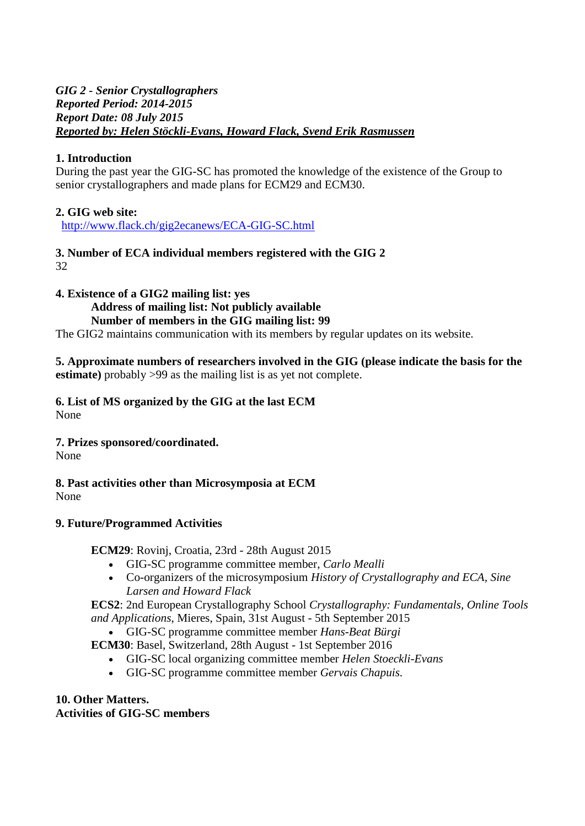### *GIG 2 - Senior Crystallographers Reported Period: 2014-2015 Report Date: 08 July 2015 Reported by: Helen Stöckli-Evans, Howard Flack, Svend Erik Rasmussen*

# **1. Introduction**

During the past year the GIG-SC has promoted the knowledge of the existence of the Group to senior crystallographers and made plans for ECM29 and ECM30.

## **2. GIG web site:**

[http://www.flack.ch/gig2ecanews/ECA-GIG-SC.html](https://mail.au.dk/owa/redir.aspx?SURL=P14UqXKPieyw-Eh84doWIhf49WmTXCle1wAEz5ifsHD73xJbFnvSCGgAdAB0AHAAOgAvAC8AdwB3AHcALgBmAGwAYQBjAGsALgBjAGgALwBnAGkAZwAyAGUAYwBhAG4AZQB3AHMALwBFAEMAQQAtAEcASQBHAC0AUwBDAC4AaAB0AG0AbAA.&URL=http%3a%2f%2fwww.flack.ch%2fgig2ecanews%2fECA-GIG-SC.html)

#### **3. Number of ECA individual members registered with the GIG 2** 32

**4. Existence of a GIG2 mailing list: yes**

#### **Address of mailing list: Not publicly available Number of members in the GIG mailing list: 99**

The GIG2 maintains communication with its members by regular updates on its website.

### **5. Approximate numbers of researchers involved in the GIG (please indicate the basis for the estimate**) probably >99 as the mailing list is as yet not complete.

**6. List of MS organized by the GIG at the last ECM** None

### **7. Prizes sponsored/coordinated.**

None

**8. Past activities other than Microsymposia at ECM** None

### **[9. Future/Programmed Activities](http://ecm29.ecanews.org/)**

**[ECM29](http://ecm29.ecanews.org/)**: Rovinj, Croatia, 23rd - 28th August 2015

- GIG-SC programme committee member, *[Carlo Mealli](http://scripts.iucr.org/cgi-bin/iucrid_details?id=3971)*
- Co-organizers of the microsymposium *[History of Crystallography and ECA,](http://www.flack.ch/gig2ecanews/ECA-GIG-SC.ECM29MS47.html) [Sine](http://scripts.iucr.org/cgi-bin/iucrid_details?id=1782)  [Larsen](http://scripts.iucr.org/cgi-bin/iucrid_details?id=1782) and [Howard Flack](http://scripts.iucr.org/cgi-bin/iucrid_details?id=829)*

**[ECS2](http://ecs2.ecanews.org/)**: 2nd European Crystallography School *Crystallography: Fundamentals, Online Tools and Applications*, Mieres, Spain, 31st August - 5th September 2015

GIG-SC programme committee member *[Hans-Beat Bürgi](http://scripts.iucr.org/cgi-bin/iucrid_details?id=815)*

**ECM30**: Basel, Switzerland, 28th August - 1st September 2016

- GIG-SC local organizing committee member *[Helen Stoeckli-Evans](http://scripts.iucr.org/cgi-bin/iucrid_details?id=873)*
- GIG-SC programme committee member *[Gervais Chapuis.](http://scripts.iucr.org/cgi-bin/iucrid_details?id=819)*

#### **10. Other Matters. Activities of GIG-SC members**